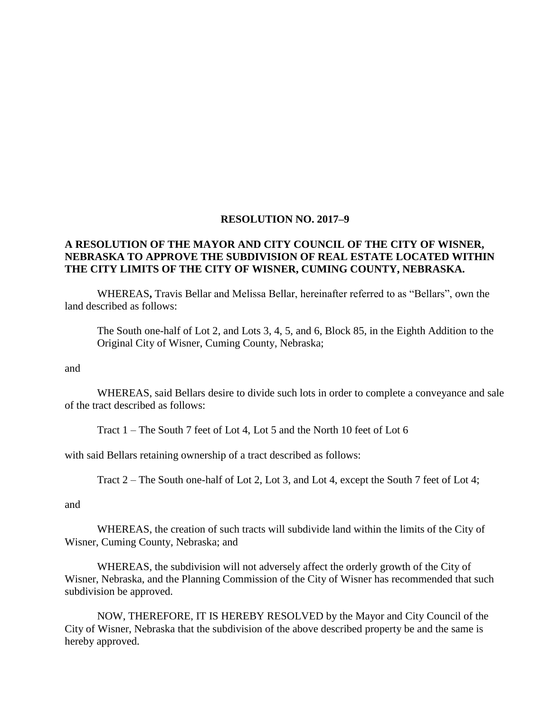## **RESOLUTION NO. 2017–9**

## **A RESOLUTION OF THE MAYOR AND CITY COUNCIL OF THE CITY OF WISNER, NEBRASKA TO APPROVE THE SUBDIVISION OF REAL ESTATE LOCATED WITHIN THE CITY LIMITS OF THE CITY OF WISNER, CUMING COUNTY, NEBRASKA.**

WHEREAS**,** Travis Bellar and Melissa Bellar, hereinafter referred to as "Bellars", own the land described as follows:

The South one-half of Lot 2, and Lots 3, 4, 5, and 6, Block 85, in the Eighth Addition to the Original City of Wisner, Cuming County, Nebraska;

and

WHEREAS, said Bellars desire to divide such lots in order to complete a conveyance and sale of the tract described as follows:

Tract 1 – The South 7 feet of Lot 4, Lot 5 and the North 10 feet of Lot 6

with said Bellars retaining ownership of a tract described as follows:

Tract 2 – The South one-half of Lot 2, Lot 3, and Lot 4, except the South 7 feet of Lot 4;

and

WHEREAS, the creation of such tracts will subdivide land within the limits of the City of Wisner, Cuming County, Nebraska; and

WHEREAS, the subdivision will not adversely affect the orderly growth of the City of Wisner, Nebraska, and the Planning Commission of the City of Wisner has recommended that such subdivision be approved.

NOW, THEREFORE, IT IS HEREBY RESOLVED by the Mayor and City Council of the City of Wisner, Nebraska that the subdivision of the above described property be and the same is hereby approved.